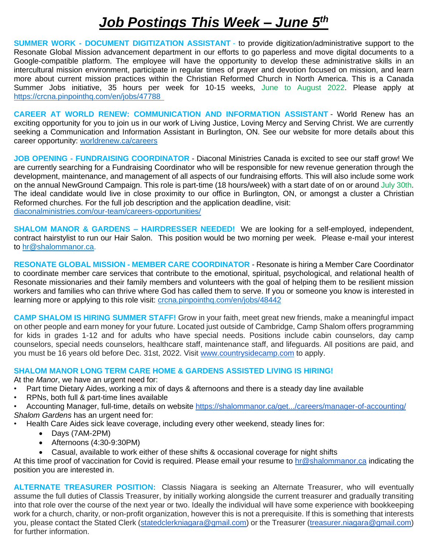## *Job Postings This Week – June 5th*

**SUMMER WORK - DOCUMENT DIGITIZATION ASSISTANT** - to provide digitization/administrative support to the Resonate Global Mission advancement department in our efforts to go paperless and move digital documents to a Google-compatible platform. The employee will have the opportunity to develop these administrative skills in an intercultural mission environment, participate in regular times of prayer and devotion focused on mission, and learn more about current mission practices within the Christian Reformed Church in North America. This is a Canada Summer Jobs initiative, 35 hours per week for 10-15 weeks, June to August 2022. Please apply at <https://crcna.pinpointhq.com/en/jobs/47788>

**CAREER AT WORLD RENEW: COMMUNICATION AND INFORMATION ASSISTANT** - World Renew has an exciting opportunity for you to join us in our work of Living Justice, Loving Mercy and Serving Christ. We are currently seeking a Communication and Information Assistant in Burlington, ON. See our website for more details about this career opportunity:<worldrenew.ca/careers>

**JOB OPENING - FUNDRAISING COORDINATOR** - Diaconal Ministries Canada is excited to see our staff grow! We are currently searching for a Fundraising Coordinator who will be responsible for new revenue generation through the development, maintenance, and management of all aspects of our fundraising efforts. This will also include some work on the annual NewGround Campaign. This role is part-time (18 hours/week) with a start date of on or around July 30th. The ideal candidate would live in close proximity to our office in Burlington, ON, or amongst a cluster a Christian Reformed churches. For the full job description and the application deadline, visit: <diaconalministries.com/our-team/careers-opportunities/>

**SHALOM MANOR & GARDENS – HAIRDRESSER NEEDED!** We are looking for a self-employed, independent, contract hairstylist to run our Hair Salon. This position would be two morning per week. Please e-mail your interest to [hr@shalommanor.ca.](mailto:hr@shalommanor.ca)

**RESONATE GLOBAL MISSION - MEMBER CARE COORDINATOR** - Resonate is hiring a Member Care Coordinator to coordinate member care services that contribute to the emotional, spiritual, psychological, and relational health of Resonate missionaries and their family members and volunteers with the goal of helping them to be resilient mission workers and families who can thrive where God has called them to serve. If you or someone you know is interested in learning more or applying to this role visit:<crcna.pinpointhq.com/en/jobs/48442>

**CAMP SHALOM IS HIRING SUMMER STAFF!** Grow in your faith, meet great new friends, make a meaningful impact on other people and earn money for your future. Located just outside of Cambridge, Camp Shalom offers programming for kids in grades 1-12 and for adults who have special needs. Positions include cabin counselors, day camp counselors, special needs counselors, healthcare staff, maintenance staff, and lifeguards. All positions are paid, and you must be 16 years old before Dec. 31st, 2022. Visit [www.countrysidecamp.com](http://www.countrysidecamp.com/) to apply.

## **SHALOM MANOR LONG TERM CARE HOME & GARDENS ASSISTED LIVING IS HIRING!**

At the *Manor*, we have an urgent need for:

- Part time Dietary Aides, working a mix of days & afternoons and there is a steady day line available
- RPNs, both full & part-time lines available
- Accounting Manager, full-time, details on website [https://shalommanor.ca/get.../careers/manager-of-accounting/](https://shalommanor.ca/get-involved/careers/manager-of-accounting/?fbclid=IwAR2cCq6G0JlvNPnsx4WaSk-ROmggQ8YgMlcyRnI_5FMPmf6TwoOThAdnyEU) *Shalom Gardens* has an urgent need for:
- Health Care Aides sick leave coverage, including every other weekend, steady lines for:
	- Days (7AM-2PM)
	- Afternoons (4:30-9:30PM)
	- Casual, available to work either of these shifts & occasional coverage for night shifts

At this time proof of vaccination for Covid is required. Please email your resume to [hr@shalommanor.ca](mailto:hr@shalommanor.ca) indicating the position you are interested in.

**ALTERNATE TREASURER POSITION:** Classis Niagara is seeking an Alternate Treasurer, who will eventually assume the full duties of Classis Treasurer, by initially working alongside the current treasurer and gradually transiting into that role over the course of the next year or two. Ideally the individual will have some experience with bookkeeping work for a church, charity, or non-profit organization, however this is not a prerequisite. If this is something that interests you, please contact the Stated Clerk [\(statedclerkniagara@gmail.com\)](mailto:statedclerkniagara@gmail.com) or the Treasurer [\(treasurer.niagara@gmail.com\)](mailto:treasurer.niagara@gmail.com) for further information.